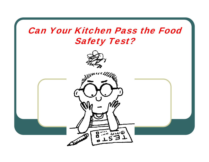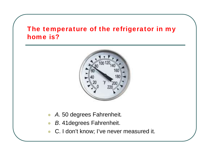# The temperature of the refrigerator in my home is?



- *A.* 50 degrees Fahrenheit*.*
- $\bullet$ *B*. 41degrees Fahrenheit.
- C. I don't know; I've never measured it.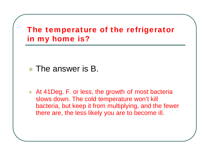# The temperature of the refrigerator in my home is?

- The answer is B.
- At 41 Deg. F. or less, the growth of most bacteria slows down. The cold temperature won't kill bacteria, but keep it from multiplying, and the fewer there are, the less likely you are to become ill.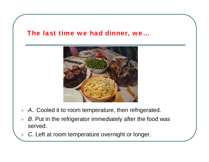#### The last time we had dinner, we…



- $\bullet$ *A*. Cooled it to room temperature, then refrigerated.
- $\bullet$ *B*. Put in the refrigerator immediately after the food was served.
	- *C*. Left at room temperature overnight or longer.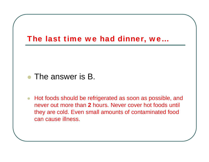

# • The answer is B.

 $\bullet$  Hot foods should be refrigerated as soon as possible, and never out more than **2** hours. Never cover hot foods until they are cold. Even small amounts of contaminated food can cause illness.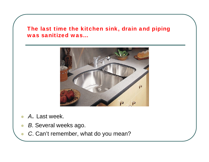The last time the kitchen sink, drain and piping was sanitized was…



 $\bullet$ *A*. Last week.

- $\bullet$ *B*. Several weeks ago.
	- *C*. Can't remember, what do you mean?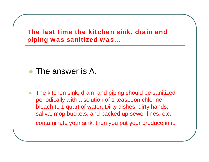The last time the kitchen sink, drain and piping was sanitized was…

- The answer is A.
- $\bullet$  The kitchen sink, drain, and piping should be sanitized periodically with a solution of 1 teaspoon chlorine bleach to 1 quart of water. Dirty dishes, dirty hands, saliva, mop buckets, and backed up sewer lines, etc. contaminate your sink, then you put your produce in it.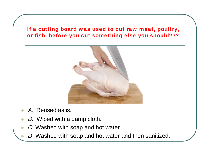#### If a cutting board was used to cut raw meat, poultry, or fish, before you cut something else you should???



- $\bullet$ *A*. Reused as is.
- $\bullet$ *B*. Wiped with a damp cloth.
- $\bullet$ *C*. Washed with soap and hot water.
- $\bullet$ *D*. Washed with soap and hot water and then sanitized.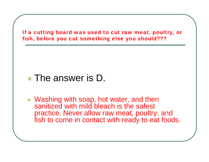

# • The answer is D.

 Washing with soap, hot water, and then sanitized with mild bleach is the safest practice. Never allow raw meat, poultry, and fish to come in contact with ready to eat foods.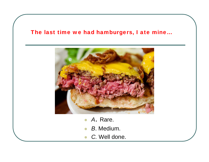#### The last time we had hamburgers, I ate mine…



- $\bullet$ *A*. Rare.
- $\bullet$ *B*. Medium.
- $\bullet$ *C.* Well done.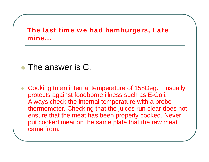# The last time we had hamburgers, I ate mine…

- The answer is C.
- $\bullet$  Cooking to an internal temperature of 158Deg.F. usually protects against foodborne illness such as E-Coli. Always check the internal temperature with a probe thermometer. Checking that the juices run clear does not ensure that the meat has been properly cooked. Never put cooked meat on the same plate that the raw meat came from.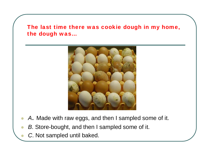The last time there was cookie dough in my home, the dough was…



- $\bullet$ *A*. Made with raw eggs, and then I sampled some of it.
- $\bullet$ *B*. Store-bought, and then I sampled some of it.
	- *C*. Not sampled until baked.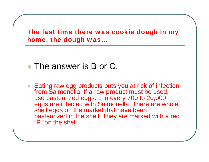The last time there was cookie dough in my home, the dough was…

#### $\bullet$ The answer is B or C.

● Eating raw egg products puts you at risk of infection from Salmonella. If a raw product must be used, use pasteurized eggs. 1 in every 700 to 20,000 eggs are infected with Salmonella. There are whole shell eggs on the market that have been pasteurized in the shell .They are marked with a red "P" on the shell.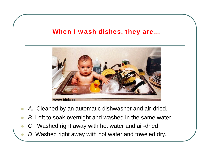## When I wash dishes, they are...



- $\bullet$ *A*. Cleaned by an automatic dishwasher and air-dried.
- $\bullet$ *B*. Left to soak overnight and washed in the same water.
- $\bullet$ *C*. Washed right away with hot water and air-dried.

 $\bullet$ 

*D*. Washed right away with hot water and toweled dry.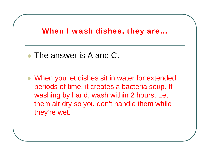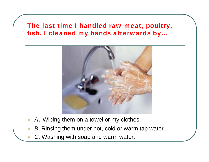# The last time I handled raw meat, poultry, fish, I cleaned my hands afterwards by…



- $\bullet$ *A*. Wiping them on a towel or my clothes.
- $\bullet$ *B*. Rinsing them under hot, cold or warm tap water.
	- *C*. Washing with soap and warm water.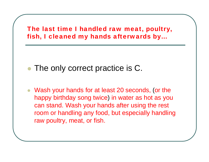The last time I handled raw meat, poultry, fish, I cleaned my hands afterwards by…

- $\bullet$ • The only correct practice is C.
- Wash your hands for at least 20 seconds, (or the happy birthday song twice ) in water as hot as you can stand. Wash your hands after using the rest room or handling any food, but especially handling raw poultry, meat, or fish.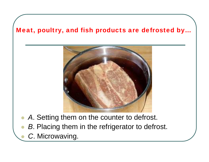### Meat, poultry, and fish products are defrosted by…



- $\bullet$ *A*. Setting them on the counter to defrost.
- $\bullet$ *B*. Placing them in the refrigerator to defrost.

*C*. Microwaving.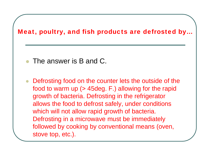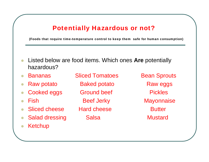# Potentially Hazardous or not?

(Foods that require time-temperature control to keep them safe for human consumption)

- $\bullet$  Listed below are food items. Which ones **Are** potentially hazardous?
- $\bullet$
- $\bullet$
- $\bullet$
- $\bullet$
- $\bullet$ Sliced cheese Hard cheese **Butter**
- $\bullet$ Salad dressing Salsa **Mustard**
- $\bullet$ **Ketchup**

Bananas Sliced Tomatoes Bean Sprouts Raw potato **Baked potato** Raw eggs Cooked eggs Ground beef Fickles Fish Beef Jerky Mayonnaise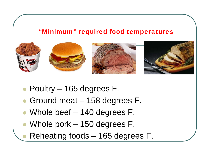### "Minimum" required food temperatures



● Poultry – 165 degrees F.

- $\bullet$ Ground meat – 158 degrees F.
- $\bullet$ Whole beef – 140 degrees F.
- Whole pork 150 degrees F.
	- Reheating foods 165 degrees F.